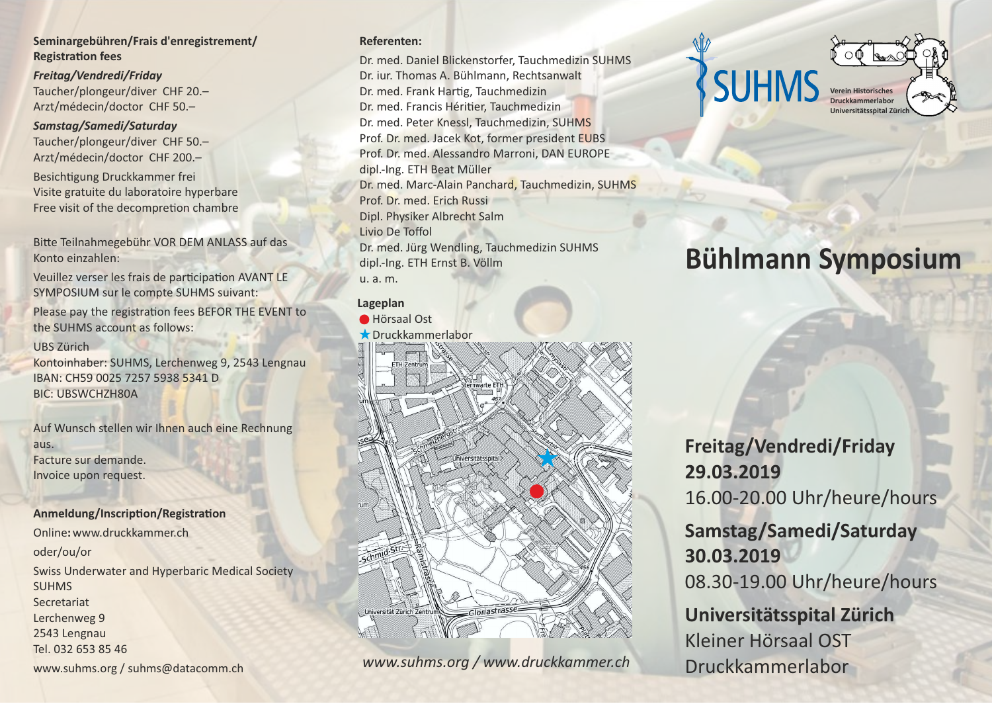### **Seminargebühren/Frais d'enregistrement/ Registration fees**

*Freitag/Vendredi/Friday* Taucher/plongeur/diver CHF 20.– Arzt/médecin/doctor CHF 50.–

#### *Samstag/Samedi/Saturday*

Taucher/plongeur/diver CHF 50.– Arzt/médecin/doctor CHF 200.– Besichtigung Druckkammer frei Visite gratuite du laboratoire hyperbare

Free visit of the decompretion chambre

Bitte Teilnahmegebühr VOR DEM ANLASS auf das Konto einzahlen:

Veuillez verser les frais de participation AVANT LE SYMPOSIUM sur le compte SUHMS suivant:

Please pay the registration fees BEFOR THE EVENT to the SUHMS account as follows:

#### UBS Zürich

Kontoinhaber: SUHMS, Lerchenweg 9, 2543 Lengnau IBAN: CH59 0025 7257 5938 5341 D BIC: UBSWCHZH80A

Auf Wunsch stellen wir Ihnen auch eine Rechnung aus. Facture sur demande. Invoice upon request.

#### **Anmeldung/Inscription/Registration**

Online**:** www.druckkammer.ch

### oder/ou/or

Swiss Underwater and Hyperbaric Medical Society SUHMS Secretariat Lerchenweg 9 2543 Lengnau Tel. 032 653 85 46 www.suhms.org / suhms@datacomm.ch

#### **Referenten:**

Dr. med. Daniel Blickenstorfer, Tauchmedizin SUHMS Dr. iur. Thomas A. Bühlmann, Rechtsanwalt Dr. med. Frank Hartig, Tauchmedizin Dr. med. Francis Héritier, Tauchmedizin Dr. med. Peter Knessl, Tauchmedizin, SUHMS Prof. Dr. med. Jacek Kot, former president EUBS Prof. Dr. med. Alessandro Marroni, DAN EUROPE dipl.-Ing. ETH Beat Müller Dr. med. Marc-Alain Panchard, Tauchmedizin, SUHMS Prof. Dr. med. Erich Russi Dipl. Physiker Albrecht Salm Livio De Toffol Dr. med. Jürg Wendling, Tauchmedizin SUHMS dipl.-Ing. ETH Ernst B. Völlm u. a. m.

#### **Lageplan**

Hörsaal Ost



www.suhms.org / www.druckkammer.ch **Druckkammerlabor** 



# **Bühlmann Symposium**

# **Freitag/Vendredi/Friday 29.03.2019** 16.00-20.00 Uhr/heure/hours

**Samstag/Samedi/Saturday 30.03.2019** 08.30-19.00 Uhr/heure/hours

**Universitätsspital Zürich** Kleiner Hörsaal OST